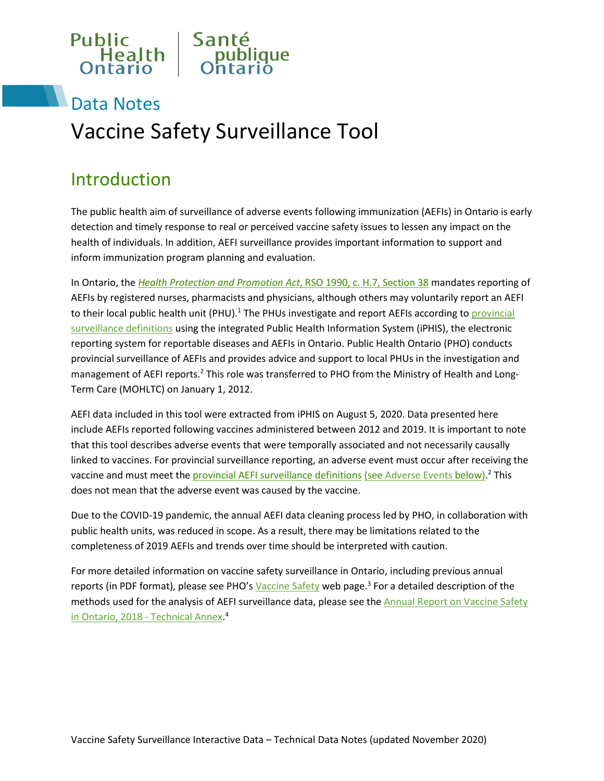

## Data Notes Vaccine Safety Surveillance Tool

## Introduction

The public health aim of surveillance of adverse events following immunization (AEFIs) in Ontario is early detection and timely response to real or perceived vaccine safety issues to lessen any impact on the health of individuals. In addition, AEFI surveillance provides important information to support and inform immunization program planning and evaluation.

In Ontario, the *[Health Protection and Promotion Act](https://www.ontario.ca/laws/statute/90h07#BK44)*, RSO 1990, c. H.7, Section 38 mandates reporting of AEFIs by registered nurses, pharmacists and physicians, although others may voluntarily report an AEFI to their local public health unit (PHU).<sup>1</sup> The PHUs investigate and report AEFIs according to *provincial* [surveillance definitions](http://www.health.gov.on.ca/en/pro/programs/publichealth/oph_standards/docs/aefi_cd.pdf) using the integrated Public Health Information System (iPHIS), the electronic reporting system for reportable diseases and AEFIs in Ontario. Public Health Ontario (PHO) conducts provincial surveillance of AEFIs and provides advice and support to local PHUs in the investigation and management of AEFI reports.<sup>2</sup> This role was transferred to PHO from the Ministry of Health and Long-Term Care (MOHLTC) on January 1, 2012.

AEFI data included in this tool were extracted from iPHIS on August 5, 2020. Data presented here include AEFIs reported following vaccines administered between 2012 and 2019. It is important to note that this tool describes adverse events that were temporally associated and not necessarily causally linked to vaccines. For provincial surveillance reporting, an adverse event must occur after receiving the vaccine and must meet the *provincial AEFI surveillance definitions (see [Adverse Events](#page-4-0) below)*.<sup>2</sup> This does not mean that the adverse event was caused by the vaccine.

Due to the COVID-19 pandemic, the annual AEFI data cleaning process led by PHO, in collaboration with public health units, was reduced in scope. As a result, there may be limitations related to the completeness of 2019 AEFIs and trends over time should be interpreted with caution.

For more detailed information on vaccine safety surveillance in Ontario, including previous annual reports (in PDF format), please see PHO's *[Vaccine Safety](https://www.publichealthontario.ca/en/health-topics/immunization/vaccine-safety)* web page.<sup>3</sup> For a detailed description of the methods used for the analysis of AEFI surveillance data, please see the [Annual Report on Vaccine Safety](https://www.publichealthontario.ca/-/media/documents/a/2019/annual-vaccine-safety-report-technical-2018.pdf?la=en)  [in Ontario, 2018 - Technical Annex.](https://www.publichealthontario.ca/-/media/documents/a/2019/annual-vaccine-safety-report-technical-2018.pdf?la=en)<sup>4</sup>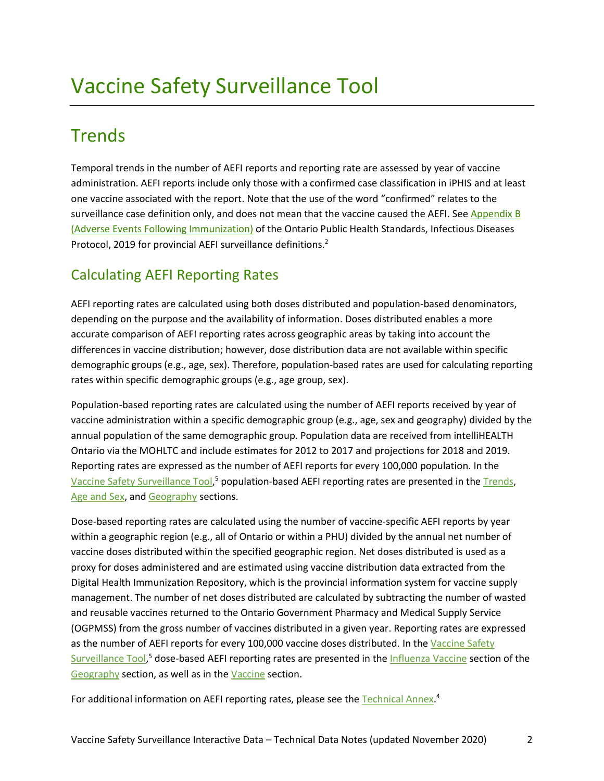## <span id="page-1-0"></span>**Trends**

Temporal trends in the number of AEFI reports and reporting rate are assessed by year of vaccine administration. AEFI reports include only those with a confirmed case classification in iPHIS and at least one vaccine associated with the report. Note that the use of the word "confirmed" relates to the surveillance case definition only, and does not mean that the vaccine caused the AEFI. See Appendix B [\(Adverse Events Following Immunization\)](http://www.health.gov.on.ca/en/pro/programs/publichealth/oph_standards/docs/aefi_cd.pdf) of the Ontario Public Health Standards, Infectious Diseases Protocol, 2019 for provincial AEFI surveillance definitions.<sup>2</sup>

### Calculating AEFI Reporting Rates

AEFI reporting rates are calculated using both doses distributed and population-based denominators, depending on the purpose and the availability of information. Doses distributed enables a more accurate comparison of AEFI reporting rates across geographic areas by taking into account the differences in vaccine distribution; however, dose distribution data are not available within specific demographic groups (e.g., age, sex). Therefore, population-based rates are used for calculating reporting rates within specific demographic groups (e.g., age group, sex).

Population-based reporting rates are calculated using the number of AEFI reports received by year of vaccine administration within a specific demographic group (e.g., age, sex and geography) divided by the annual population of the same demographic group. Population data are received from intelliHEALTH Ontario via the MOHLTC and include estimates for 2012 to 2017 and projections for 2018 and 2019. Reporting rates are expressed as the number of AEFI reports for every 100,000 population. In the [Vaccine Safety Surveillance Tool,](https://www.publichealthontario.ca/en/data-and-analysis/infectious-disease/vaccine-safety#/trends)<sup>5</sup> population-based AEFI reporting rates are presented in the [Trends,](#page-1-0) [Age and Sex,](#page-2-0) an[d Geography](#page-2-1) sections.

Dose-based reporting rates are calculated using the number of vaccine-specific AEFI reports by year within a geographic region (e.g., all of Ontario or within a PHU) divided by the annual net number of vaccine doses distributed within the specified geographic region. Net doses distributed is used as a proxy for doses administered and are estimated using vaccine distribution data extracted from the Digital Health Immunization Repository, which is the provincial information system for vaccine supply management. The number of net doses distributed are calculated by subtracting the number of wasted and reusable vaccines returned to the Ontario Government Pharmacy and Medical Supply Service (OGPMSS) from the gross number of vaccines distributed in a given year. Reporting rates are expressed as the number of AEFI reports for every 100,000 vaccine doses distributed. In the Vaccine Safety [Surveillance Tool,](https://www.publichealthontario.ca/en/data-and-analysis/infectious-disease/vaccine-safety#/trends)<sup>5</sup> dose-based AEFI reporting rates are presented in the **Influenza Vaccine** section of the [Geography](#page-2-1) section, as well as in the [Vaccine](#page-3-1) section.

For additional information on AEFI reporting rates, please see the [Technical Annex.](https://www.publichealthontario.ca/-/media/documents/a/2019/annual-vaccine-safety-report-technical-2018.pdf?la=en)<sup>4</sup>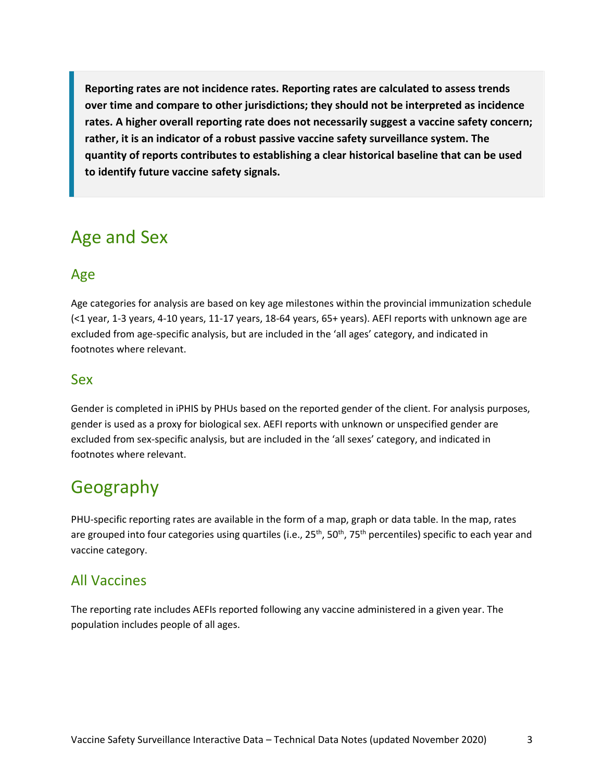**Reporting rates are not incidence rates. Reporting rates are calculated to assess trends over time and compare to other jurisdictions; they should not be interpreted as incidence rates. A higher overall reporting rate does not necessarily suggest a vaccine safety concern; rather, it is an indicator of a robust passive vaccine safety surveillance system. The quantity of reports contributes to establishing a clear historical baseline that can be used to identify future vaccine safety signals.**

### <span id="page-2-0"></span>Age and Sex

### Age

Age categories for analysis are based on key age milestones within the provincial immunization schedule (<1 year, 1-3 years, 4-10 years, 11-17 years, 18-64 years, 65+ years). AEFI reports with unknown age are excluded from age-specific analysis, but are included in the 'all ages' category, and indicated in footnotes where relevant.

#### Sex

Gender is completed in iPHIS by PHUs based on the reported gender of the client. For analysis purposes, gender is used as a proxy for biological sex. AEFI reports with unknown or unspecified gender are excluded from sex-specific analysis, but are included in the 'all sexes' category, and indicated in footnotes where relevant.

## <span id="page-2-1"></span>Geography

PHU-specific reporting rates are available in the form of a map, graph or data table. In the map, rates are grouped into four categories using quartiles (i.e., 25<sup>th</sup>, 50<sup>th</sup>, 75<sup>th</sup> percentiles) specific to each year and vaccine category.

#### All Vaccines

The reporting rate includes AEFIs reported following any vaccine administered in a given year. The population includes people of all ages.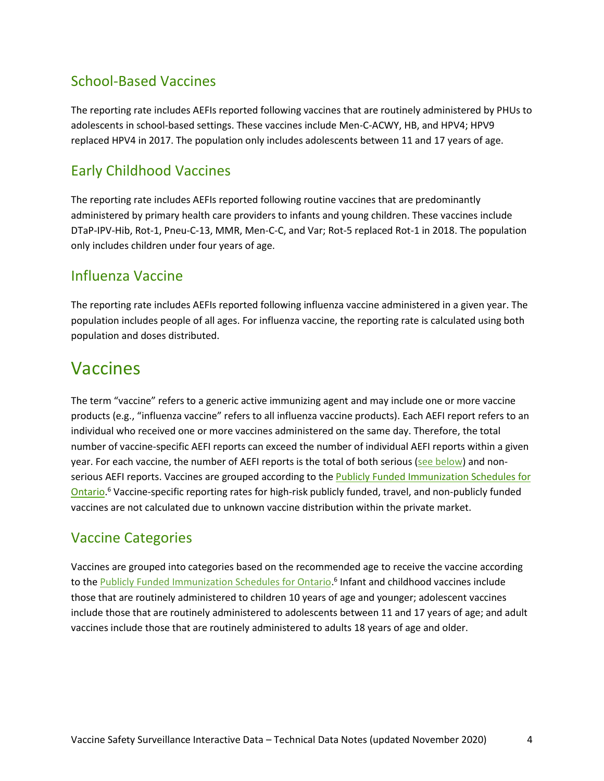### School-Based Vaccines

The reporting rate includes AEFIs reported following vaccines that are routinely administered by PHUs to adolescents in school-based settings. These vaccines include Men-C-ACWY, HB, and HPV4; HPV9 replaced HPV4 in 2017. The population only includes adolescents between 11 and 17 years of age.

### Early Childhood Vaccines

The reporting rate includes AEFIs reported following routine vaccines that are predominantly administered by primary health care providers to infants and young children. These vaccines include DTaP-IPV-Hib, Rot-1, Pneu-C-13, MMR, Men-C-C, and Var; Rot-5 replaced Rot-1 in 2018. The population only includes children under four years of age.

#### <span id="page-3-0"></span>Influenza Vaccine

The reporting rate includes AEFIs reported following influenza vaccine administered in a given year. The population includes people of all ages. For influenza vaccine, the reporting rate is calculated using both population and doses distributed.

### <span id="page-3-1"></span>Vaccines

The term "vaccine" refers to a generic active immunizing agent and may include one or more vaccine products (e.g., "influenza vaccine" refers to all influenza vaccine products). Each AEFI report refers to an individual who received one or more vaccines administered on the same day. Therefore, the total number of vaccine-specific AEFI reports can exceed the number of individual AEFI reports within a given year. For each vaccine, the number of AEFI reports is the total of both serious [\(see below\)](#page-4-1) and nonserious AEFI reports. Vaccines are grouped according to the **Publicly Funded Immunization Schedules for** [Ontario.](http://www.health.gov.on.ca/en/pro/programs/immunization/docs/immunization_schedule.pdf)<sup>6</sup> Vaccine-specific reporting rates for high-risk publicly funded, travel, and non-publicly funded vaccines are not calculated due to unknown vaccine distribution within the private market.

### Vaccine Categories

Vaccines are grouped into categories based on the recommended age to receive the vaccine according to the **Publicly Funded Immunization Schedules for Ontario**.<sup>6</sup> Infant and childhood vaccines include those that are routinely administered to children 10 years of age and younger; adolescent vaccines include those that are routinely administered to adolescents between 11 and 17 years of age; and adult vaccines include those that are routinely administered to adults 18 years of age and older.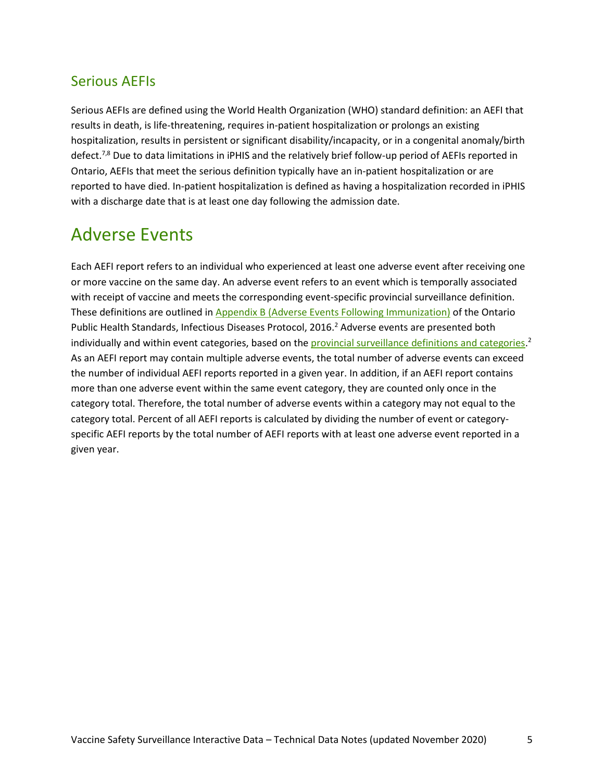### <span id="page-4-1"></span>Serious AEFIs

Serious AEFIs are defined using the World Health Organization (WHO) standard definition: an AEFI that results in death, is life-threatening, requires in-patient hospitalization or prolongs an existing hospitalization, results in persistent or significant disability/incapacity, or in a congenital anomaly/birth defect.<sup>7,8</sup> Due to data limitations in iPHIS and the relatively brief follow-up period of AEFIs reported in Ontario, AEFIs that meet the serious definition typically have an in-patient hospitalization or are reported to have died. In-patient hospitalization is defined as having a hospitalization recorded in iPHIS with a discharge date that is at least one day following the admission date.

### <span id="page-4-0"></span>Adverse Events

Each AEFI report refers to an individual who experienced at least one adverse event after receiving one or more vaccine on the same day. An adverse event refers to an event which is temporally associated with receipt of vaccine and meets the corresponding event-specific provincial surveillance definition. These definitions are outlined i[n Appendix B \(Adverse Events Following Immunization\)](http://www.health.gov.on.ca/en/pro/programs/publichealth/oph_standards/docs/aefi_cd.pdf) of the Ontario Public Health Standards, Infectious Diseases Protocol, 2016.<sup>2</sup> Adverse events are presented both individually and within event categories, based on the **provincial surveillance definitions and categories**.<sup>2</sup> As an AEFI report may contain multiple adverse events, the total number of adverse events can exceed the number of individual AEFI reports reported in a given year. In addition, if an AEFI report contains more than one adverse event within the same event category, they are counted only once in the category total. Therefore, the total number of adverse events within a category may not equal to the category total. Percent of all AEFI reports is calculated by dividing the number of event or categoryspecific AEFI reports by the total number of AEFI reports with at least one adverse event reported in a given year.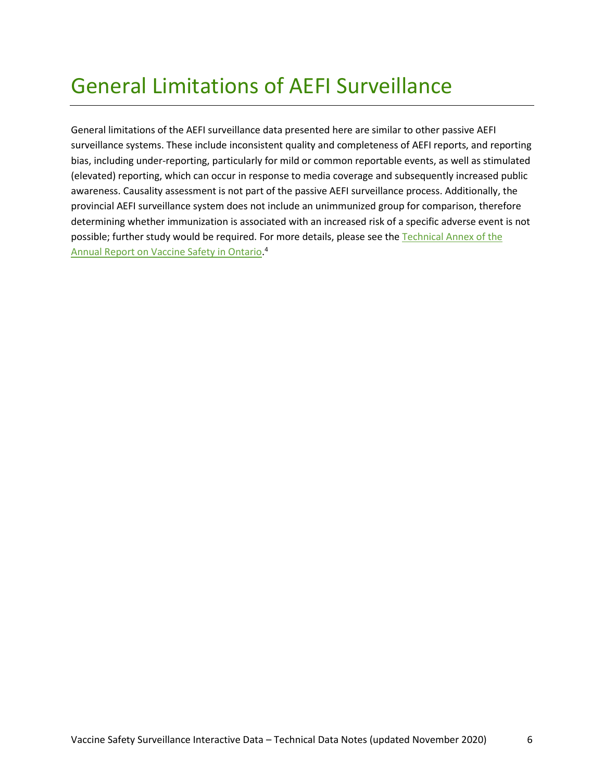# General Limitations of AEFI Surveillance

General limitations of the AEFI surveillance data presented here are similar to other passive AEFI surveillance systems. These include inconsistent quality and completeness of AEFI reports, and reporting bias, including under-reporting, particularly for mild or common reportable events, as well as stimulated (elevated) reporting, which can occur in response to media coverage and subsequently increased public awareness. Causality assessment is not part of the passive AEFI surveillance process. Additionally, the provincial AEFI surveillance system does not include an unimmunized group for comparison, therefore determining whether immunization is associated with an increased risk of a specific adverse event is not possible; further study would be required. For more details, please see the Technical Annex of the [Annual Report on Vaccine Safety in Ontario.](https://www.publichealthontario.ca/-/media/documents/a/2019/annual-vaccine-safety-report-technical-2018.pdf?la=en) 4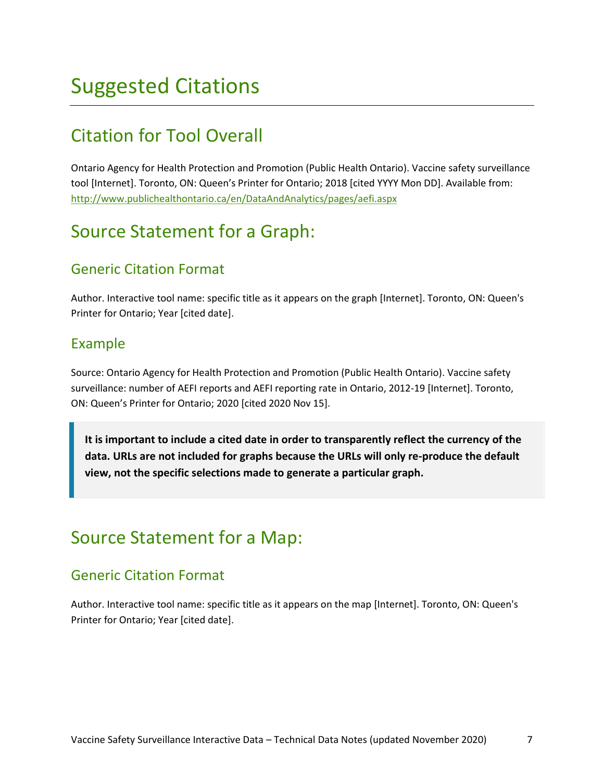## Suggested Citations

## Citation for Tool Overall

Ontario Agency for Health Protection and Promotion (Public Health Ontario). Vaccine safety surveillance tool [Internet]. Toronto, ON: Queen's Printer for Ontario; 2018 [cited YYYY Mon DD]. Available from: http://www.publichealthontario.ca/en/DataAndAnalytics/pages/aefi.aspx

### Source Statement for a Graph:

#### Generic Citation Format

Author. Interactive tool name: specific title as it appears on the graph [Internet]. Toronto, ON: Queen's Printer for Ontario; Year [cited date].

#### Example

Source: Ontario Agency for Health Protection and Promotion (Public Health Ontario). Vaccine safety surveillance: number of AEFI reports and AEFI reporting rate in Ontario, 2012-19 [Internet]. Toronto, ON: Queen's Printer for Ontario; 2020 [cited 2020 Nov 15].

**It is important to include a cited date in order to transparently reflect the currency of the data. URLs are not included for graphs because the URLs will only re-produce the default view, not the specific selections made to generate a particular graph.**

### Source Statement for a Map:

#### Generic Citation Format

Author. Interactive tool name: specific title as it appears on the map [Internet]. Toronto, ON: Queen's Printer for Ontario; Year [cited date].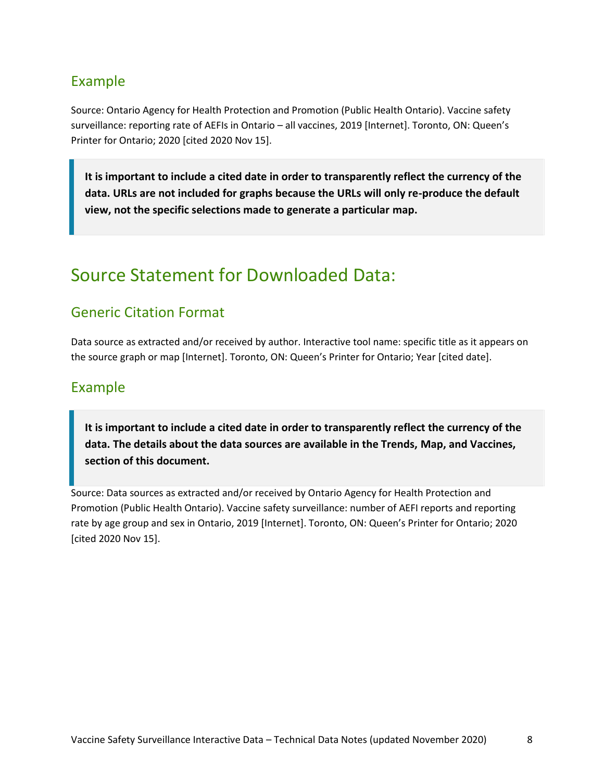### Example

Source: Ontario Agency for Health Protection and Promotion (Public Health Ontario). Vaccine safety surveillance: reporting rate of AEFIs in Ontario – all vaccines, 2019 [Internet]. Toronto, ON: Queen's Printer for Ontario; 2020 [cited 2020 Nov 15].

**It is important to include a cited date in order to transparently reflect the currency of the data. URLs are not included for graphs because the URLs will only re-produce the default view, not the specific selections made to generate a particular map.**

### Source Statement for Downloaded Data:

#### Generic Citation Format

Data source as extracted and/or received by author. Interactive tool name: specific title as it appears on the source graph or map [Internet]. Toronto, ON: Queen's Printer for Ontario; Year [cited date].

#### Example

**It is important to include a cited date in order to transparently reflect the currency of the data. The details about the data sources are available in the Trends, Map, and Vaccines, section of this document.**

Source: Data sources as extracted and/or received by Ontario Agency for Health Protection and Promotion (Public Health Ontario). Vaccine safety surveillance: number of AEFI reports and reporting rate by age group and sex in Ontario, 2019 [Internet]. Toronto, ON: Queen's Printer for Ontario; 2020 [cited 2020 Nov 15].